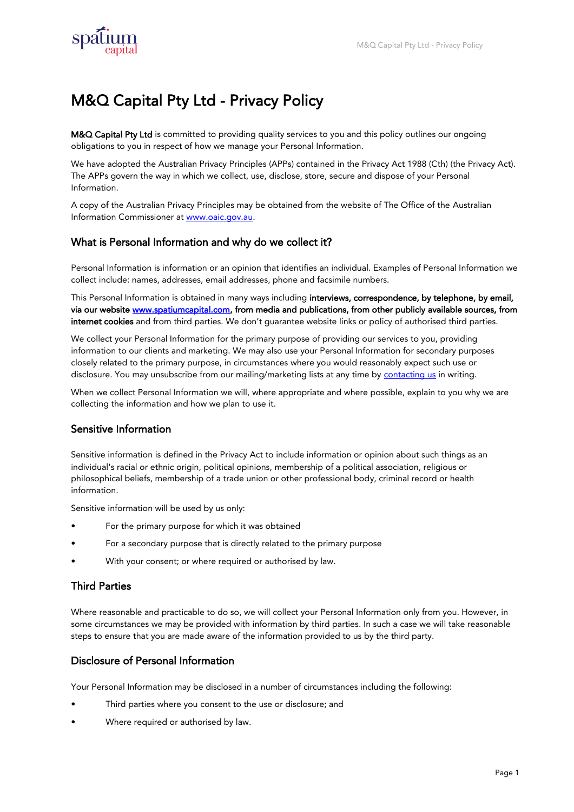

# M&Q Capital Pty Ltd - Privacy Policy

M&Q Capital Pty Ltd is committed to providing quality services to you and this policy outlines our ongoing obligations to you in respect of how we manage your Personal Information.

We have adopted the Australian Privacy Principles (APPs) contained in the Privacy Act 1988 (Cth) (the Privacy Act). The APPs govern the way in which we collect, use, disclose, store, secure and dispose of your Personal Information.

A copy of the Australian Privacy Principles may be obtained from the website of The Office of the Australian Information Commissioner at [www.oaic.gov.au.](www.aoic.gov.au)

# What is Personal Information and why do we collect it?

Personal Information is information or an opinion that identifies an individual. Examples of Personal Information we collect include: names, addresses, email addresses, phone and facsimile numbers.

This Personal Information is obtained in many ways including interviews, correspondence, by telephone, by email, via our website [www.spatiumcapital.com,](www.SpatiumCapital.com) from media and publications, from other publicly available sources, from internet cookies and from third parties. We don't guarantee website links or policy of authorised third parties.

We collect your Personal Information for the primary purpose of providing our services to you, providing information to our clients and marketing. We may also use your Personal Information for secondary purposes closely related to the primary purpose, in circumstances where you would reasonably expect such use or disclosure. You may unsubscribe from our mailing/marketing lists at any time by **contacting us** in writing.

When we collect Personal Information we will, where appropriate and where possible, explain to you why we are collecting the information and how we plan to use it.

# Sensitive Information

Sensitive information is defined in the Privacy Act to include information or opinion about such things as an individual's racial or ethnic origin, political opinions, membership of a political association, religious or philosophical beliefs, membership of a trade union or other professional body, criminal record or health information.

Sensitive information will be used by us only:

- For the primary purpose for which it was obtained
- For a secondary purpose that is directly related to the primary purpose
- With your consent; or where required or authorised by law.

# Third Parties

Where reasonable and practicable to do so, we will collect your Personal Information only from you. However, in some circumstances we may be provided with information by third parties. In such a case we will take reasonable steps to ensure that you are made aware of the information provided to us by the third party.

#### Disclosure of Personal Information

Your Personal Information may be disclosed in a number of circumstances including the following:

- Third parties where you consent to the use or disclosure; and
- Where required or authorised by law.